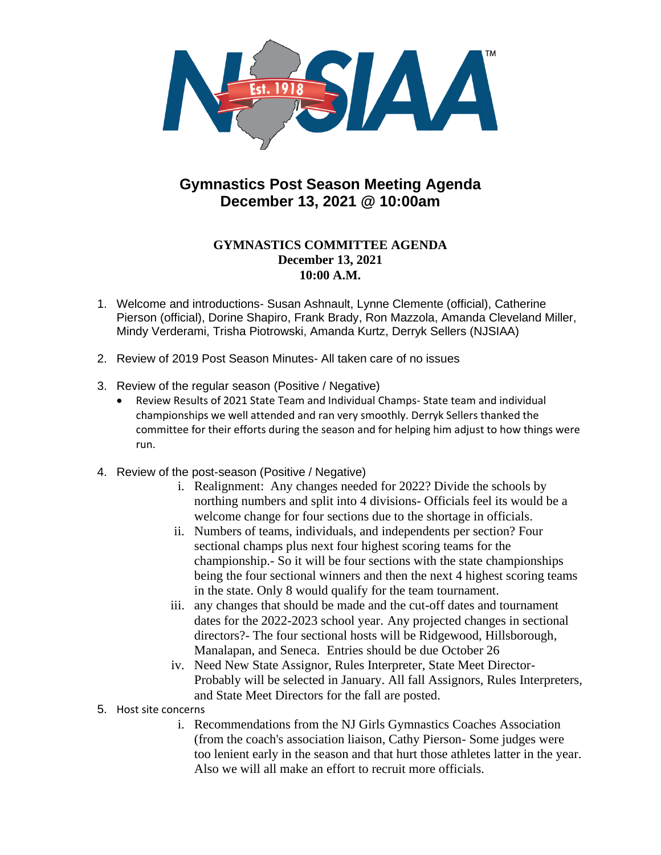

## **Gymnastics Post Season Meeting Agenda December 13, 2021 @ 10:00am**

## **GYMNASTICS COMMITTEE AGENDA December 13, 2021 10:00 A.M.**

- 1. Welcome and introductions- Susan Ashnault, Lynne Clemente (official), Catherine Pierson (official), Dorine Shapiro, Frank Brady, Ron Mazzola, Amanda Cleveland Miller, Mindy Verderami, Trisha Piotrowski, Amanda Kurtz, Derryk Sellers (NJSIAA)
- 2. Review of 2019 Post Season Minutes- All taken care of no issues
- 3. Review of the regular season (Positive / Negative)
	- Review Results of 2021 State Team and Individual Champs- State team and individual championships we well attended and ran very smoothly. Derryk Sellers thanked the committee for their efforts during the season and for helping him adjust to how things were run.
- 4. Review of the post-season (Positive / Negative)
	- i. Realignment: Any changes needed for 2022? Divide the schools by northing numbers and split into 4 divisions- Officials feel its would be a welcome change for four sections due to the shortage in officials.
	- ii. Numbers of teams, individuals, and independents per section? Four sectional champs plus next four highest scoring teams for the championship.- So it will be four sections with the state championships being the four sectional winners and then the next 4 highest scoring teams in the state. Only 8 would qualify for the team tournament.
	- iii. any changes that should be made and the cut-off dates and tournament dates for the 2022-2023 school year. Any projected changes in sectional directors?- The four sectional hosts will be Ridgewood, Hillsborough, Manalapan, and Seneca. Entries should be due October 26
	- iv. Need New State Assignor, Rules Interpreter, State Meet Director-Probably will be selected in January. All fall Assignors, Rules Interpreters, and State Meet Directors for the fall are posted.
- 5. Host site concerns
	- i. Recommendations from the NJ Girls Gymnastics Coaches Association (from the coach's association liaison, Cathy Pierson- Some judges were too lenient early in the season and that hurt those athletes latter in the year. Also we will all make an effort to recruit more officials.